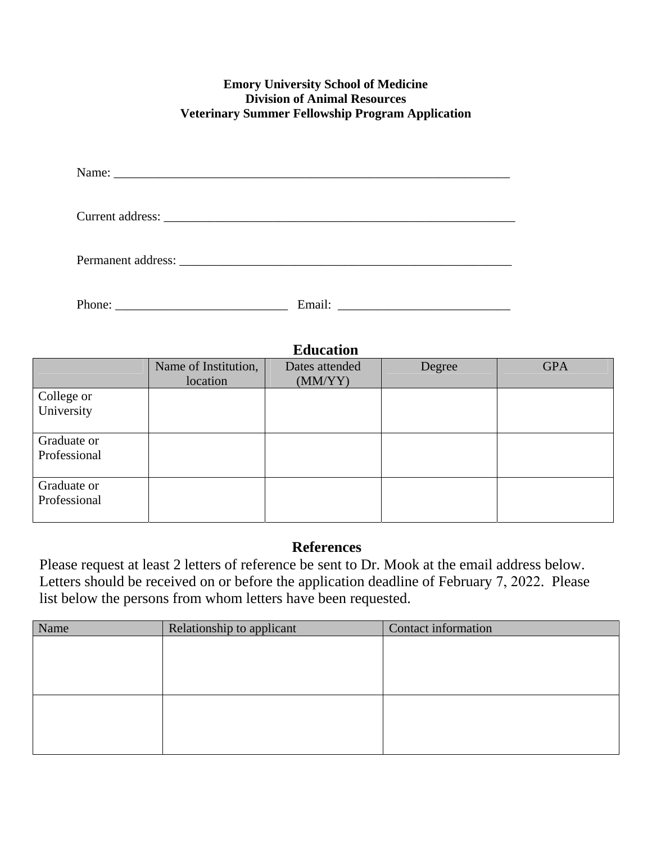## **Emory University School of Medicine Division of Animal Resources Veterinary Summer Fellowship Program Application**

| Permanent address: |  |
|--------------------|--|
| Phone:             |  |

| <b>Education</b> |                      |                |        |            |  |
|------------------|----------------------|----------------|--------|------------|--|
|                  | Name of Institution, | Dates attended | Degree | <b>GPA</b> |  |
|                  | location             | (MM/YY)        |        |            |  |
| College or       |                      |                |        |            |  |
| University       |                      |                |        |            |  |
| Graduate or      |                      |                |        |            |  |
| Professional     |                      |                |        |            |  |
| Graduate or      |                      |                |        |            |  |
| Professional     |                      |                |        |            |  |

## **References**

Please request at least 2 letters of reference be sent to Dr. Mook at the email address below. Letters should be received on or before the application deadline of February 7, 2022. Please list below the persons from whom letters have been requested.

| Name | Relationship to applicant | Contact information |
|------|---------------------------|---------------------|
|      |                           |                     |
|      |                           |                     |
|      |                           |                     |
|      |                           |                     |
|      |                           |                     |
|      |                           |                     |
|      |                           |                     |
|      |                           |                     |